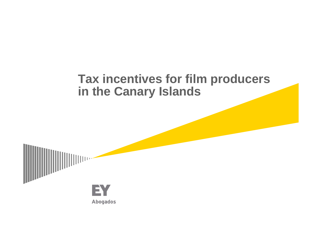## **Tax incentives for film producers in the Canary Islands**

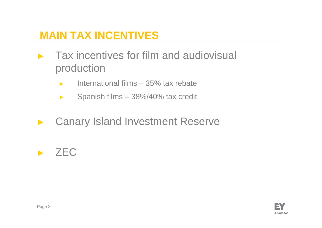## **MAIN TAX INCENTIVES**

- ► Tax incentives for film and audiovisual production
	- ►International films – 35% tax rebate
	- ►Spanish films – 38%/40% tax credit
- ►Canary Island Investment Reserve

# ► ZEC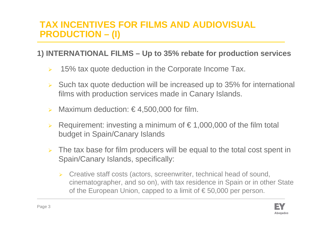### **TAX INCENTIVES FOR FILMS AND AUDIOVISUAL PRODUCTION – (I)**

### **1) INTERNATIONAL FILMS – Up to 35% rebate for production services**

- $\blacktriangleright$ 15% tax quote deduction in the Corporate Income Tax.
- Such tax quote deduction will be increased up to 35% for international films with production services made in Canary Islands.
- Maximum deduction:  $\epsilon$  4,500,000 for film.
- $\blacktriangleright$ Requirement: investing a minimum of  $\epsilon$  1,000,000 of the film total budget in Spain/Canary Islands
- $\blacktriangleright$  The tax base for film producers will be equal to the total cost spent in Spain/Canary Islands, specifically:
	- $\blacktriangleright$  Creative staff costs (actors, screenwriter, technical head of sound, cinematographer, and so on), with tax residence in Spain or in other State of the European Union, capped to a limit of  $\epsilon$  50,000 per person.

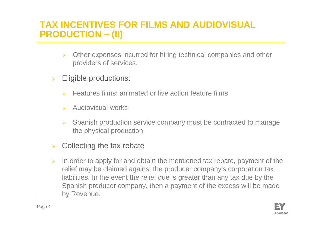## **TAX INCENTIVES FOR FILMS AND AUDIOVISUAL PRODUCTION – (II)**

- $\blacktriangleright$  Other expenses incurred for hiring technical companies and other providers of services.
- $\blacktriangleright$  Eligible productions:
	- ➤ Features films: animated or live action feature films
	- $\blacktriangleright$ Audiovisual works
	- ➤ Spanish production service company must be contracted to manage the physical production.
- $\blacktriangleright$ Collecting the tax rebate
- $\blacktriangleright$  In order to apply for and obtain the mentioned tax rebate, payment of the relief may be claimed against the producer company's corporation tax liabilities. In the event the relief due is greater than any tax due by the Spanish producer company, then a payment of the excess will be made by Revenue.

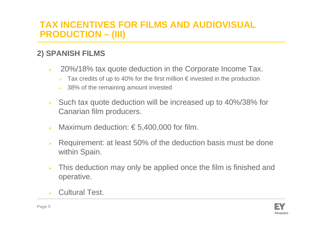## **TAX INCENTIVES FOR FILMS AND AUDIOVISUAL PRODUCTION – (III)**

### **2) SPANISH FILMS**

- $\blacktriangleright$  20%/18% tax quote deduction in the Corporate Income Tax.
	- $\blacktriangleright$ Tax credits of up to 40% for the first million  $\epsilon$  invested in the production
	- $\geq$  38% of the remaining amount invested
- $\blacktriangleright$  Such tax quote deduction will be increased up to 40%/38% for Canarian film producers.
- $\blacktriangleright$ Maximum deduction:  $\epsilon$  5,400,000 for film.
- $\blacktriangleright$  Requirement: at least 50% of the deduction basis must be done within Spain.
- $\blacktriangleright$  This deduction may only be applied once the film is finished and operative.
- **> Cultural Test.**

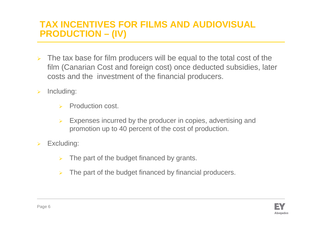## **TAX INCENTIVES FOR FILMS AND AUDIOVISUAL PRODUCTION – (IV)**

- $\blacktriangleright$  The tax base for film producers will be equal to the total cost of the film (Canarian Cost and foreign cost) once deducted subsidies, later costs and the investment of the financial producers.
- $\blacktriangleright$  Including:
	- $\blacktriangleright$ Production cost.
	- $\blacktriangleright$  Expenses incurred by the producer in copies, advertising and promotion up to 40 percent of the cost of production.
- $\blacktriangleright$  Excluding:
	- $\blacktriangleright$ The part of the budget financed by grants.
	- $\blacktriangleright$ The part of the budget financed by financial producers.

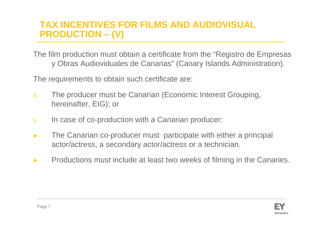## **TAX INCENTIVES FOR FILMS AND AUDIOVISUAL PRODUCTION – (V)**

The film production must obtain a certificate from the "Registro de Empresasy Obras Audioviduales de Canarias" (Canary Islands Administration).

The requirements to obtain such certificate are:

- a. The producer must be Canarian (Economic Interest Grouping, hereinafter, EIG); or
- b.In case of co-production with a Canarian producer:
- ► The Canarian co-producer must participate with either a principal actor/actress, a secondary actor/actress or a technician.
- ►Productions must include at least two weeks of filming in the Canaries.

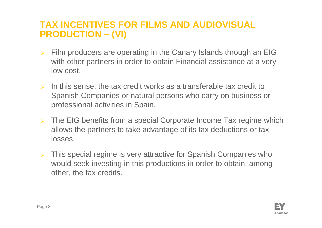## **TAX INCENTIVES FOR FILMS AND AUDIOVISUAL PRODUCTION – (VI)**

- $\blacktriangleright$  Film producers are operating in the Canary Islands through an EIG with other partners in order to obtain Financial assistance at a very low cost.
- $\triangleright$  In this sense, the tax credit works as a transferable tax credit to Spanish Companies or natural persons who carry on business or professional activities in Spain.
- $\triangleright$  The EIG benefits from a special Corporate Income Tax regime which allows the partners to take advantage of its tax deductions or tax losses.
- $\blacktriangleright$  This special regime is very attractive for Spanish Companies who would seek investing in this productions in order to obtain, among other, the tax credits.

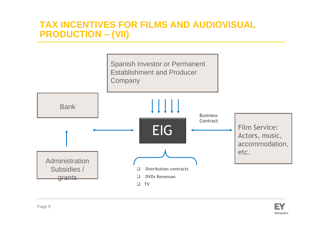### **TAX INCENTIVES FOR FILMS AND AUDIOVISUAL PRODUCTION – (VII)**



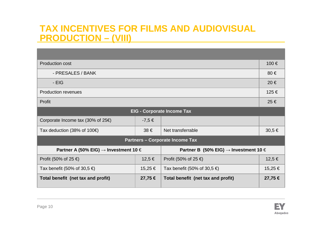### **TAX INCENTIVES FOR FILMS AND AUDIOVISUAL PRODUCTION – (VIII)**

| <b>Production cost</b>                                |             |                                                       | 100 €      |  |
|-------------------------------------------------------|-------------|-------------------------------------------------------|------------|--|
| - PRESALES / BANK                                     |             |                                                       | $80 \in$   |  |
| - EIG                                                 |             |                                                       | 20€        |  |
| <b>Production revenues</b>                            |             |                                                       | 125 €      |  |
| Profit                                                |             |                                                       | $25 \in$   |  |
| <b>EIG - Corporate Income Tax</b>                     |             |                                                       |            |  |
| Corporate Income tax (30% of $25 \in$ )               | $-7,5 \in$  |                                                       |            |  |
| Tax deduction (38% of 100 $\epsilon$ )                | $38 \in$    | Net transferrable                                     | $30,5 \in$ |  |
| <b>Partners - Corporate Income Tax</b>                |             |                                                       |            |  |
| Partner A (50% EIG) $\rightarrow$ Investment 10 $\in$ |             | Partner B (50% EIG) $\rightarrow$ Investment 10 $\in$ |            |  |
| Profit (50% of 25 $\epsilon$ )                        | $12,5 \in$  | Profit (50% of 25 $\epsilon$ )                        | 12,5 €     |  |
| Tax benefit (50% of 30,5 €)                           | 15,25 €     | Tax benefit (50% of 30,5 $\epsilon$ )                 | 15,25 €    |  |
| Total benefit (net tax and profit)                    | $27,75 \in$ | Total benefit (net tax and profit)                    | 27,75 €    |  |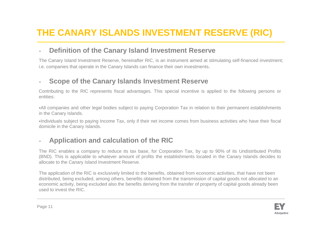## **THE CANARY ISLANDS INVESTMENT RESERVE (RIC)**

#### •**Definition of the Canary Island Investment Reserve**

The Canary Island Investment Reserve, hereinafter RIC, is an instrument aimed at stimulating self-financed investment; i.e. companies that operate in the Canary Islands can finance their own investments.

#### •**Scope of the Canary Islands Investment Reserve**

Contributing to the RIC represents fiscal advantages. This special incentive is applied to the following persons or entities:

All companies and other legal bodies subject to paying Corporation Tax in relation to their permanent establishments in the Canary Islands.

Individuals subject to paying Income Tax, only if their net income comes from business activities who have their fiscal domicile in the Canary Islands.

#### •**Application and calculation of the RIC**

The RIC enables a company to reduce its tax base, for Corporation Tax, by up to 90% of its Undistributed Profits (BND). This is applicable to whatever amount of profits the establishments located in the Canary Islands decides to allocate to the Canary Island Investment Reserve.

The application of the RIC is exclusively limited to the benefits, obtained from economic activities, that have not been distributed, being excluded, among others, benefits obtained from the transmission of capital goods not allocated to an economic activity, being excluded also the benefits deriving from the transfer of property of capital goods already been used to invest the RIC.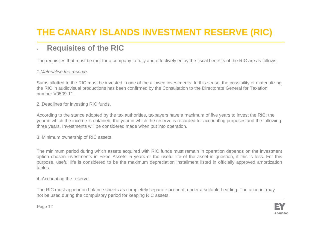## **THE CANARY ISLANDS INVESTMENT RESERVE (RIC)**

#### •**Requisites of the RIC**

The requisites that must be met for a company to fully and effectively enjoy the fiscal benefits of the RIC are as follows:

#### 1.Materialise the reserve.

Sums allotted to the RIC must be invested in one of the allowed investments. In this sense, the possibility of materializing the RIC in audiovisual productions has been confirmed by the Consultation to the Directorate General for Taxation number V0509-11.

2. Deadlines for investing RIC funds.

According to the stance adopted by the tax authorities, taxpayers have a maximum of five years to invest the RIC: the year in which the income is obtained, the year in which the reserve is recorded for accounting purposes and the following three years. Investments will be considered made when put into operation.

3. Minimum ownership of RIC assets.

The minimum period during which assets acquired with RIC funds must remain in operation depends on the investment option chosen investments in Fixed Assets: 5 years or the useful life of the asset in question, if this is less. For this purpose, useful life is considered to be the maximum depreciation installment listed in officially approved amortization tables.

#### 4. Accounting the reserve.

The RIC must appear on balance sheets as completely separate account, under a suitable heading. The account may not be used during the compulsory period for keeping RIC assets.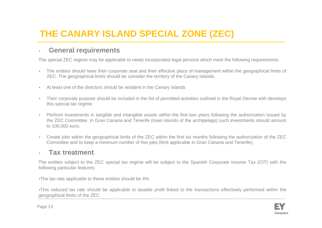## **THE CANARY ISLAND SPECIAL ZONE (ZEC)**

#### •**General requirements**

The special ZEC regime may be applicable to newly incorporated legal persons which meet the following requirements:

- • The entities should have their corporate seat and their effective place of management within the geographical limits of ZEC. The geographical limits should be consider the territory of the Canary Islands.
- •At least one of the directors should be resident in the Canary Islands
- • Their corporate purpose should be included in the list of permitted activities outlined in the Royal Decree with develops this special tax regime.
- • Perform investments in tangible and intangible assets within the first two years following the authorization issued by the ZEC Committee. In Gran Canaria and Tenerife (main islands of the archipelago) such investments should amount to 100,000 euro.
- $\bullet$  Create jobs within the geographical limits of the ZEC within the first six months following the authorization of the ZEC Committee and to keep a minimum number of five jobs (limit applicable in Gran Canaria and Tenerife).

#### •**Tax treatment**

The entities subject to the ZEC special tax regime will be subject to the Spanish Corporate Income Tax (CIT) with the following particular features:

•The tax rate applicable to these entities should be 4%.

•This reduced tax rate should be applicable to taxable profit linked to the transactions effectively performed within the geographical limits of the ZEC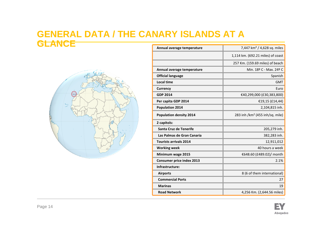### **GENERAL DATA / THE CANARY ISLANDS AT A GLANCE**



|      | Annual average temperature       | 7,447 km <sup>2</sup> / 4,628 sq. miles     |
|------|----------------------------------|---------------------------------------------|
|      |                                  | 1,114 km. (692.21 miles) of coast           |
| Sey. |                                  | 257 Km. (159.69 miles) of beach             |
|      | Annual average temperature       | Min. 18º C - Max. 24º C                     |
|      | <b>Official language</b>         | Spanish                                     |
|      | <b>Local time</b>                | <b>GMT</b>                                  |
|      | <b>Currency</b>                  | Euro                                        |
|      | <b>GDP 2014</b>                  | €40,299,000 (£30,383,800)                   |
|      | Per capita GDP 2014              | €19,15 (£14,44)                             |
|      | <b>Population 2014</b>           | 2,104,815 inh.                              |
|      | <b>Population density 2014</b>   | 283 inh /km <sup>2</sup> (455 inh/sq. mile) |
|      | 2 capitols:                      |                                             |
|      | Santa Cruz de Tenerife           | 205,279 inh.                                |
|      | Las Palmas de Gran Canaria       | 382,283 inh.                                |
|      | <b>Tourists arrivals 2014</b>    | 12,911,012                                  |
|      | <b>Working week</b>              | 40 hours a week                             |
|      | Minimum wage 2015                | €648.60 (£489.02)/ month                    |
|      | <b>Consumer price index 2013</b> | 2.1%                                        |
|      | Infrastructure:                  |                                             |
|      | <b>Airports</b>                  | 8 (6 of them international)                 |
|      | <b>Commercial Ports</b>          | 27                                          |
|      | <b>Marinas</b>                   | 19                                          |
|      | <b>Road Network</b>              | 4,256 Km. (2,644.56 miles)                  |

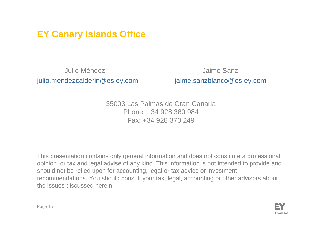## **EY Canary Islands Office**

Julio Méndez Jaime Sanzjulio.mendezcalderin@es.ey.com

jaime.sanzblanco@es.ey.com

35003 Las Palmas de Gran CanariaPhone: +34 928 380 984Fax: +34 928 370 249

This presentation contains only general information and does not constitute a professional opinion, or tax and legal advise of any kind. This information is not intended to provide and should not be relied upon for accounting, legal or tax advice or investment recommendations. You should consult your tax, legal, accounting or other advisors about the issues discussed herein.